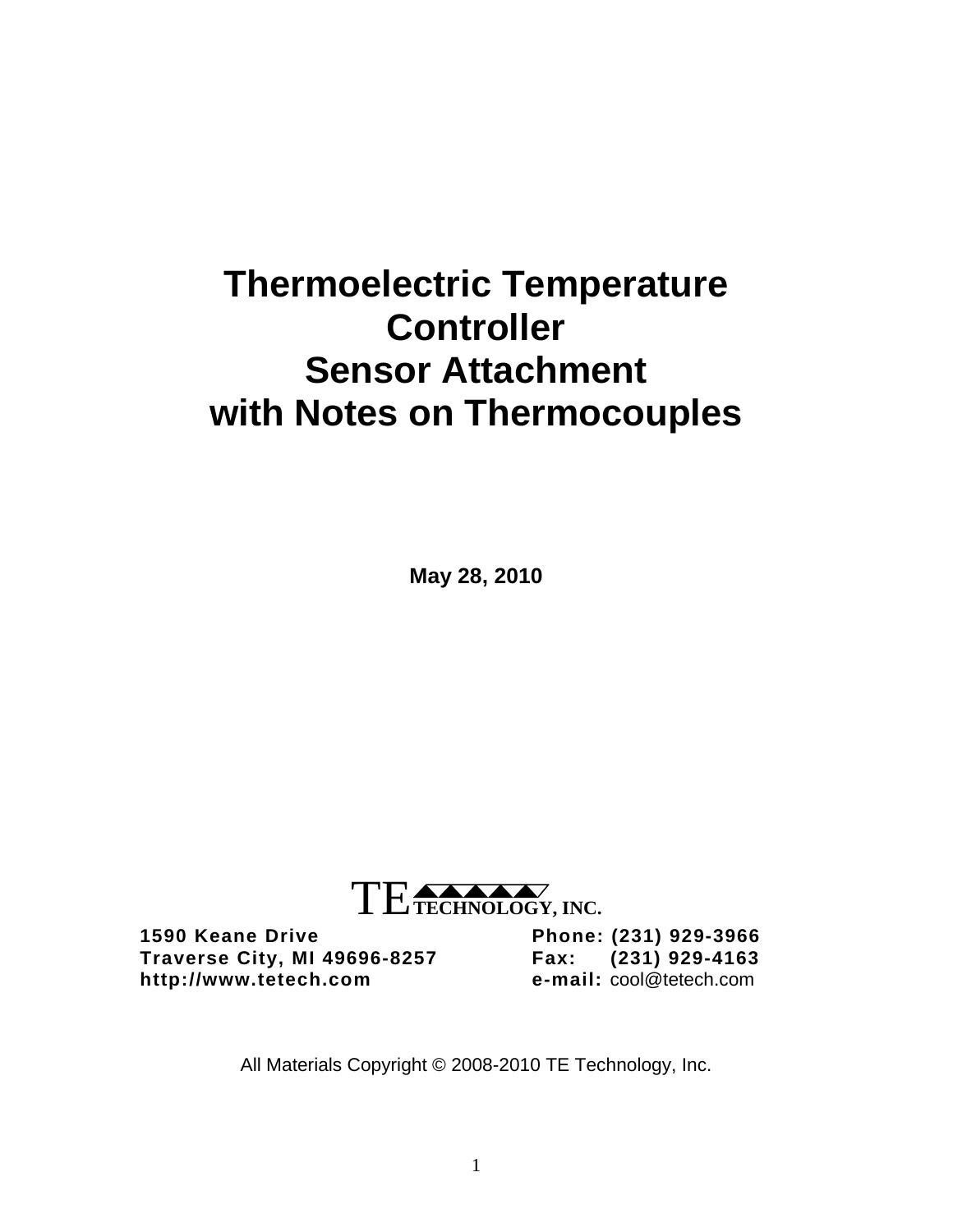# **Thermoelectric Temperature Controller Sensor Attachment with Notes on Thermocouples**

**May 28, 2010** 



**1590 Keane Drive Phone: (231) 929-3966 Traverse City, MI 49696-8257** http://www.tetech.com

All Materials Copyright © 2008-2010 TE Technology, Inc.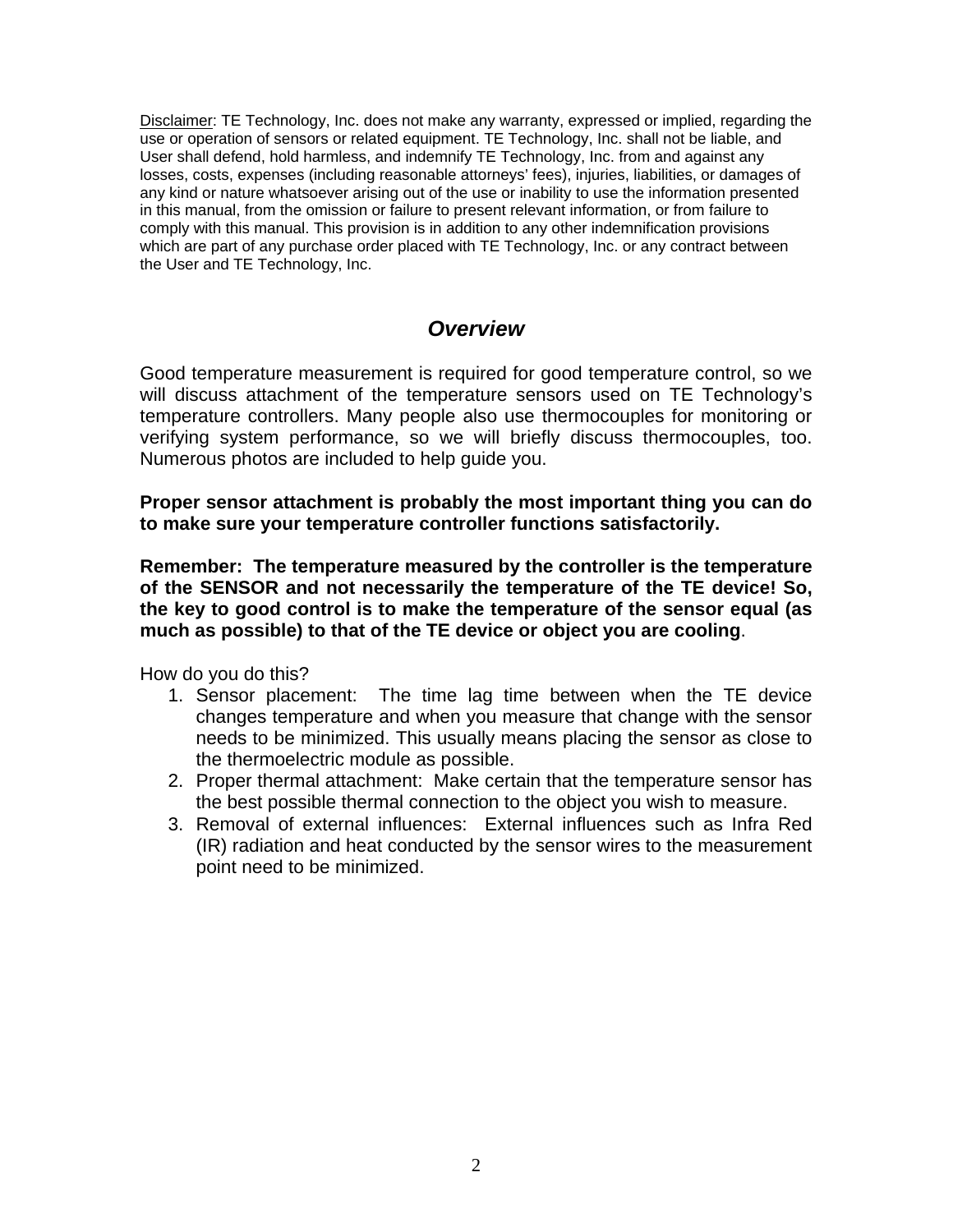Disclaimer: TE Technology, Inc. does not make any warranty, expressed or implied, regarding the use or operation of sensors or related equipment. TE Technology, Inc. shall not be liable, and User shall defend, hold harmless, and indemnify TE Technology, Inc. from and against any losses, costs, expenses (including reasonable attorneys' fees), injuries, liabilities, or damages of any kind or nature whatsoever arising out of the use or inability to use the information presented in this manual, from the omission or failure to present relevant information, or from failure to comply with this manual. This provision is in addition to any other indemnification provisions which are part of any purchase order placed with TE Technology, Inc. or any contract between the User and TE Technology, Inc.

## *Overview*

Good temperature measurement is required for good temperature control, so we will discuss attachment of the temperature sensors used on TE Technology's temperature controllers. Many people also use thermocouples for monitoring or verifying system performance, so we will briefly discuss thermocouples, too. Numerous photos are included to help guide you.

**Proper sensor attachment is probably the most important thing you can do to make sure your temperature controller functions satisfactorily.** 

**Remember: The temperature measured by the controller is the temperature of the SENSOR and not necessarily the temperature of the TE device! So, the key to good control is to make the temperature of the sensor equal (as much as possible) to that of the TE device or object you are cooling**.

How do you do this?

- 1. Sensor placement: The time lag time between when the TE device changes temperature and when you measure that change with the sensor needs to be minimized. This usually means placing the sensor as close to the thermoelectric module as possible.
- 2. Proper thermal attachment: Make certain that the temperature sensor has the best possible thermal connection to the object you wish to measure.
- 3. Removal of external influences: External influences such as Infra Red (IR) radiation and heat conducted by the sensor wires to the measurement point need to be minimized.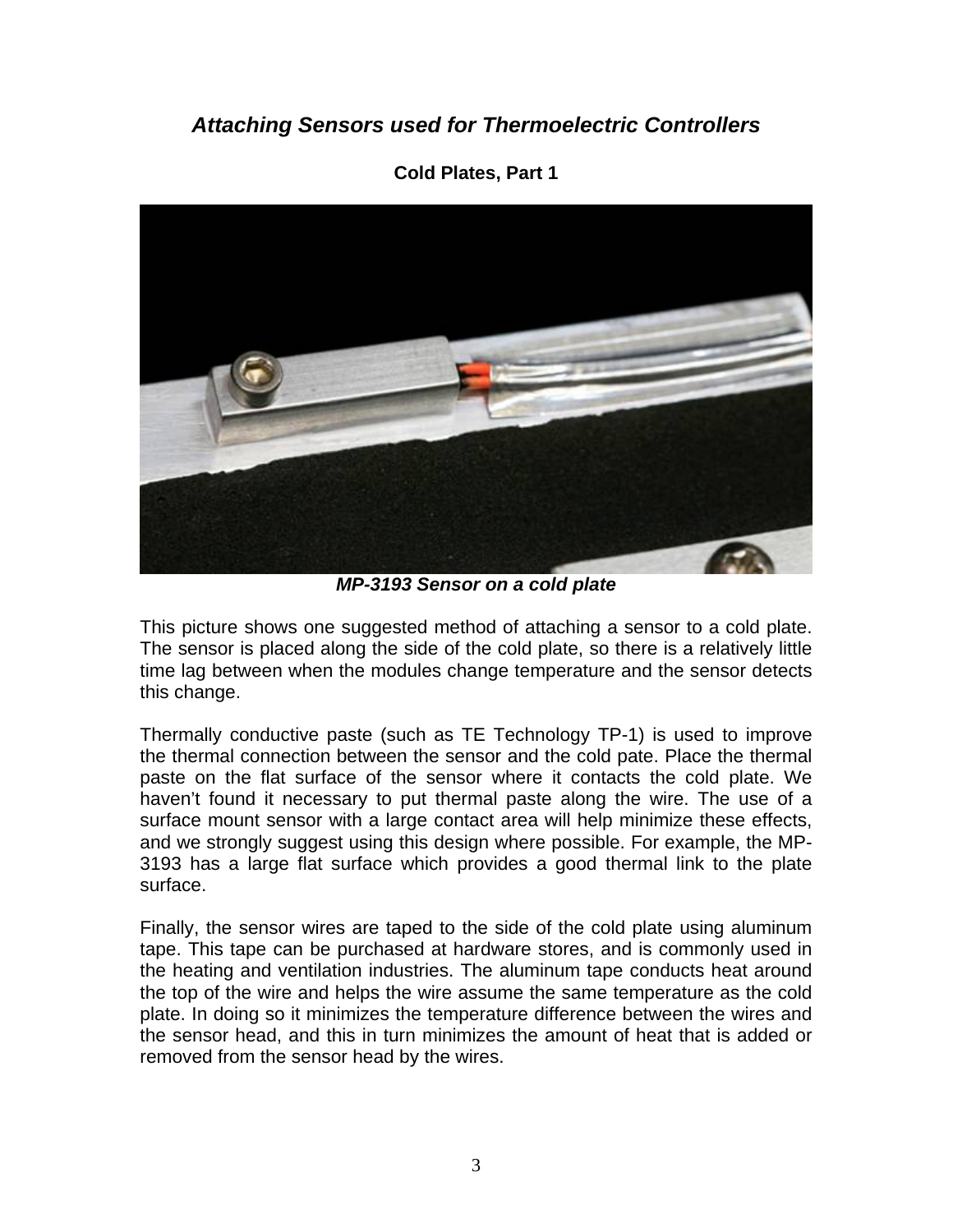# *Attaching Sensors used for Thermoelectric Controllers*



**Cold Plates, Part 1** 

*MP-3193 Sensor on a cold plate* 

This picture shows one suggested method of attaching a sensor to a cold plate. The sensor is placed along the side of the cold plate, so there is a relatively little time lag between when the modules change temperature and the sensor detects this change.

Thermally conductive paste (such as TE Technology TP-1) is used to improve the thermal connection between the sensor and the cold pate. Place the thermal paste on the flat surface of the sensor where it contacts the cold plate. We haven't found it necessary to put thermal paste along the wire. The use of a surface mount sensor with a large contact area will help minimize these effects, and we strongly suggest using this design where possible. For example, the MP-3193 has a large flat surface which provides a good thermal link to the plate surface.

Finally, the sensor wires are taped to the side of the cold plate using aluminum tape. This tape can be purchased at hardware stores, and is commonly used in the heating and ventilation industries. The aluminum tape conducts heat around the top of the wire and helps the wire assume the same temperature as the cold plate. In doing so it minimizes the temperature difference between the wires and the sensor head, and this in turn minimizes the amount of heat that is added or removed from the sensor head by the wires.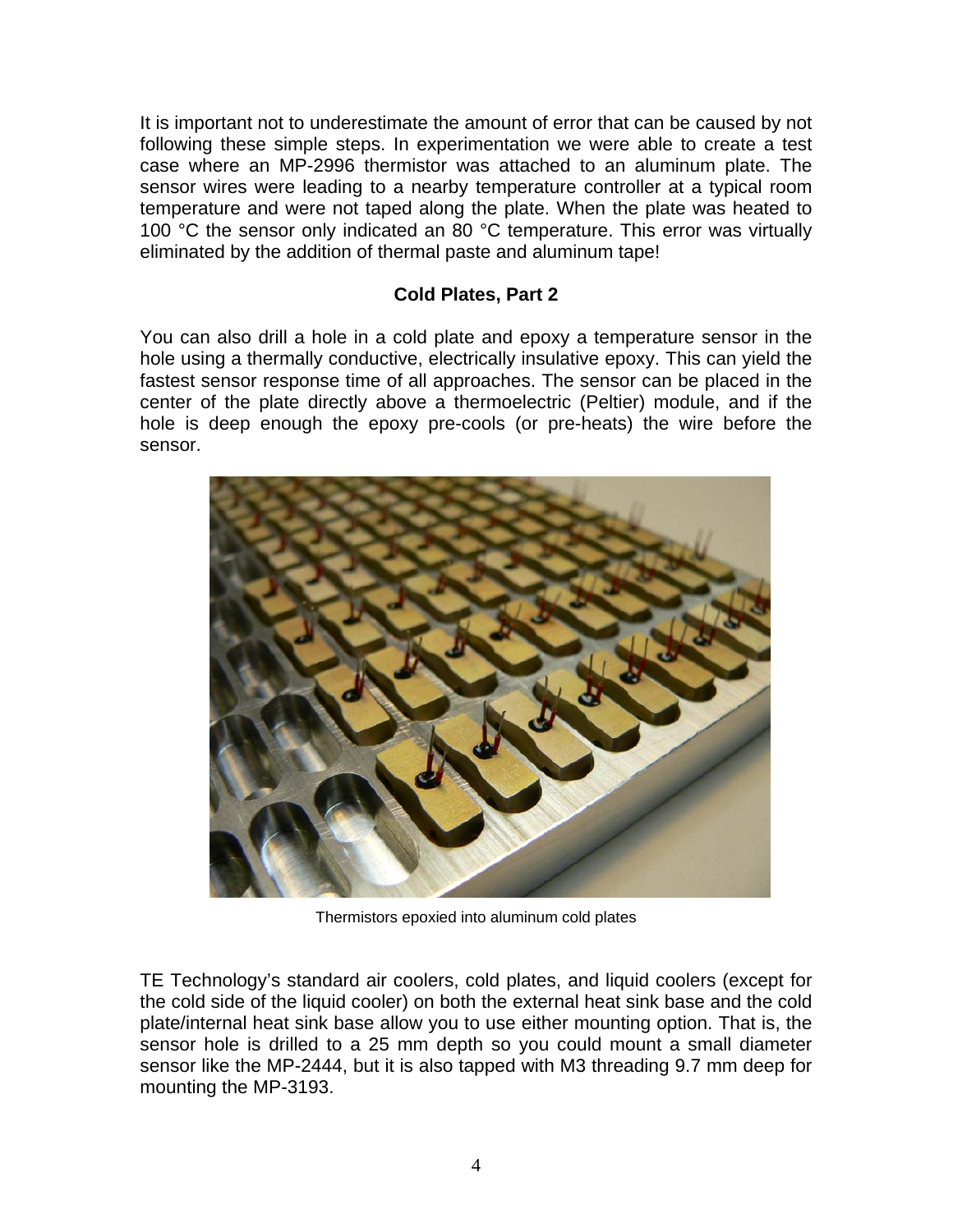It is important not to underestimate the amount of error that can be caused by not following these simple steps. In experimentation we were able to create a test case where an MP-2996 thermistor was attached to an aluminum plate. The sensor wires were leading to a nearby temperature controller at a typical room temperature and were not taped along the plate. When the plate was heated to 100 °C the sensor only indicated an 80 °C temperature. This error was virtually eliminated by the addition of thermal paste and aluminum tape!

### **Cold Plates, Part 2**

You can also drill a hole in a cold plate and epoxy a temperature sensor in the hole using a thermally conductive, electrically insulative epoxy. This can yield the fastest sensor response time of all approaches. The sensor can be placed in the center of the plate directly above a thermoelectric (Peltier) module, and if the hole is deep enough the epoxy pre-cools (or pre-heats) the wire before the sensor.



Thermistors epoxied into aluminum cold plates

TE Technology's standard air coolers, cold plates, and liquid coolers (except for the cold side of the liquid cooler) on both the external heat sink base and the cold plate/internal heat sink base allow you to use either mounting option. That is, the sensor hole is drilled to a 25 mm depth so you could mount a small diameter sensor like the MP-2444, but it is also tapped with M3 threading 9.7 mm deep for mounting the MP-3193.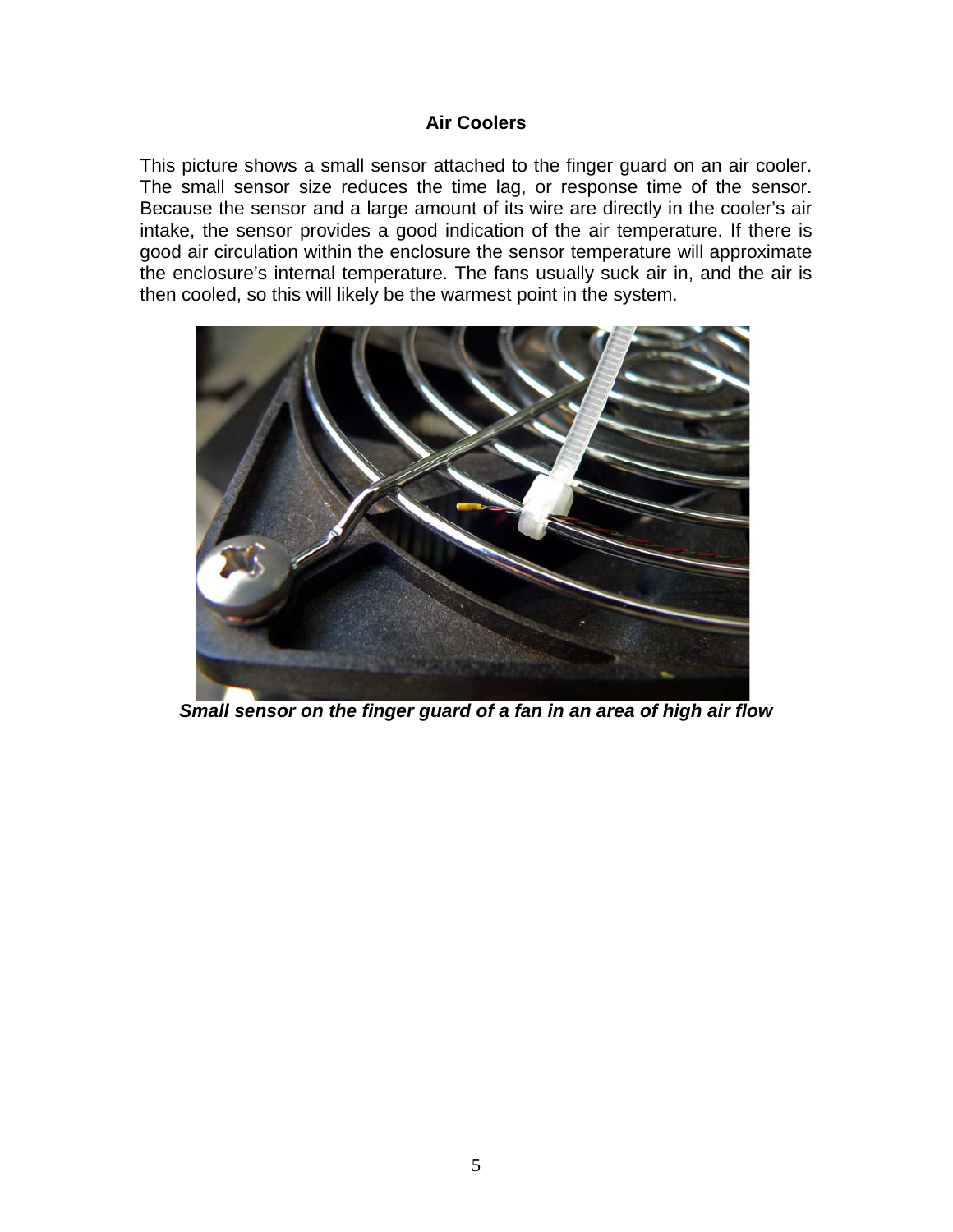#### **Air Coolers**

This picture shows a small sensor attached to the finger guard on an air cooler. The small sensor size reduces the time lag, or response time of the sensor. Because the sensor and a large amount of its wire are directly in the cooler's air intake, the sensor provides a good indication of the air temperature. If there is good air circulation within the enclosure the sensor temperature will approximate the enclosure's internal temperature. The fans usually suck air in, and the air is then cooled, so this will likely be the warmest point in the system.



*Small sensor on the finger guard of a fan in an area of high air flow*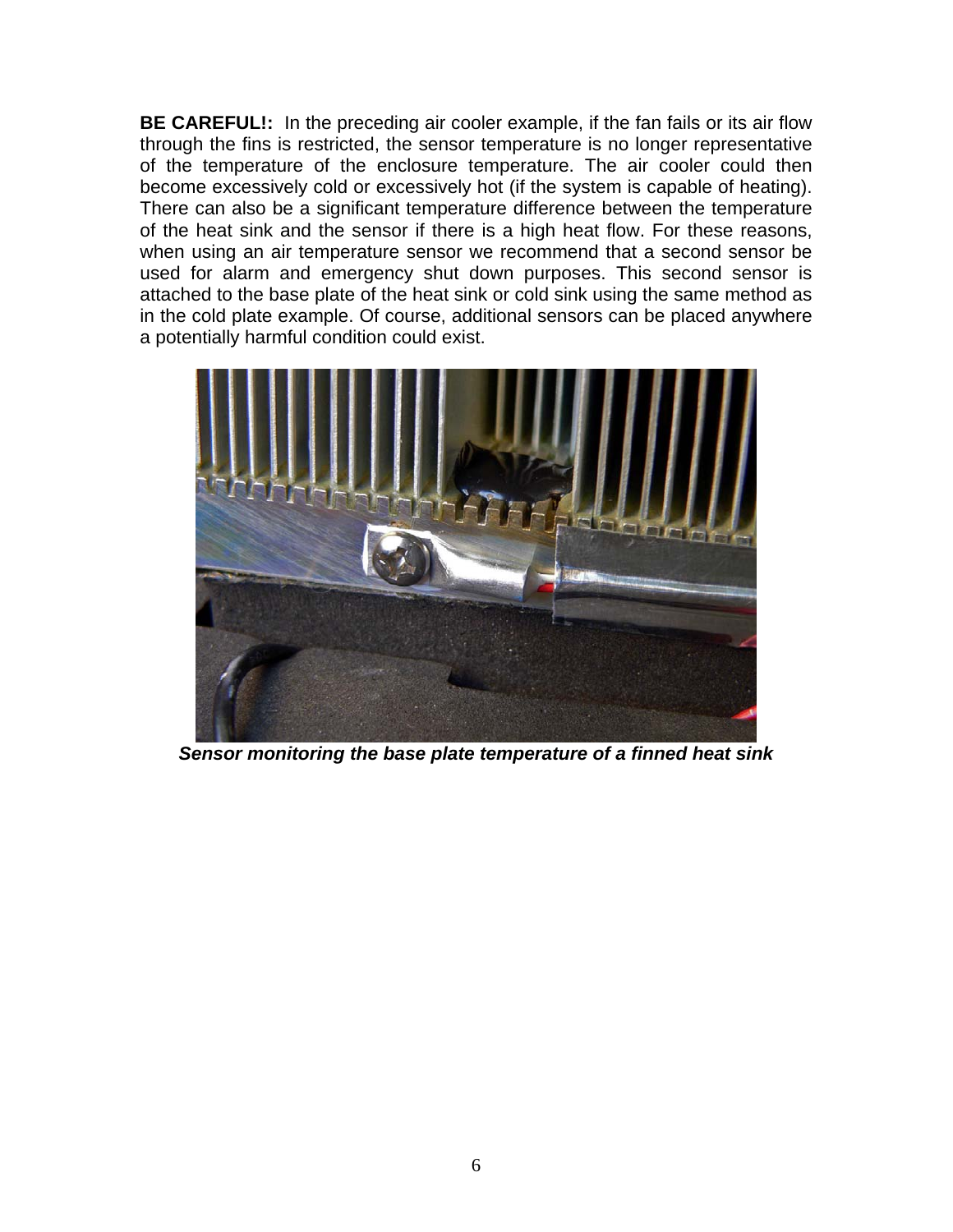**BE CAREFUL!:** In the preceding air cooler example, if the fan fails or its air flow through the fins is restricted, the sensor temperature is no longer representative of the temperature of the enclosure temperature. The air cooler could then become excessively cold or excessively hot (if the system is capable of heating). There can also be a significant temperature difference between the temperature of the heat sink and the sensor if there is a high heat flow. For these reasons, when using an air temperature sensor we recommend that a second sensor be used for alarm and emergency shut down purposes. This second sensor is attached to the base plate of the heat sink or cold sink using the same method as in the cold plate example. Of course, additional sensors can be placed anywhere a potentially harmful condition could exist.



*Sensor monitoring the base plate temperature of a finned heat sink*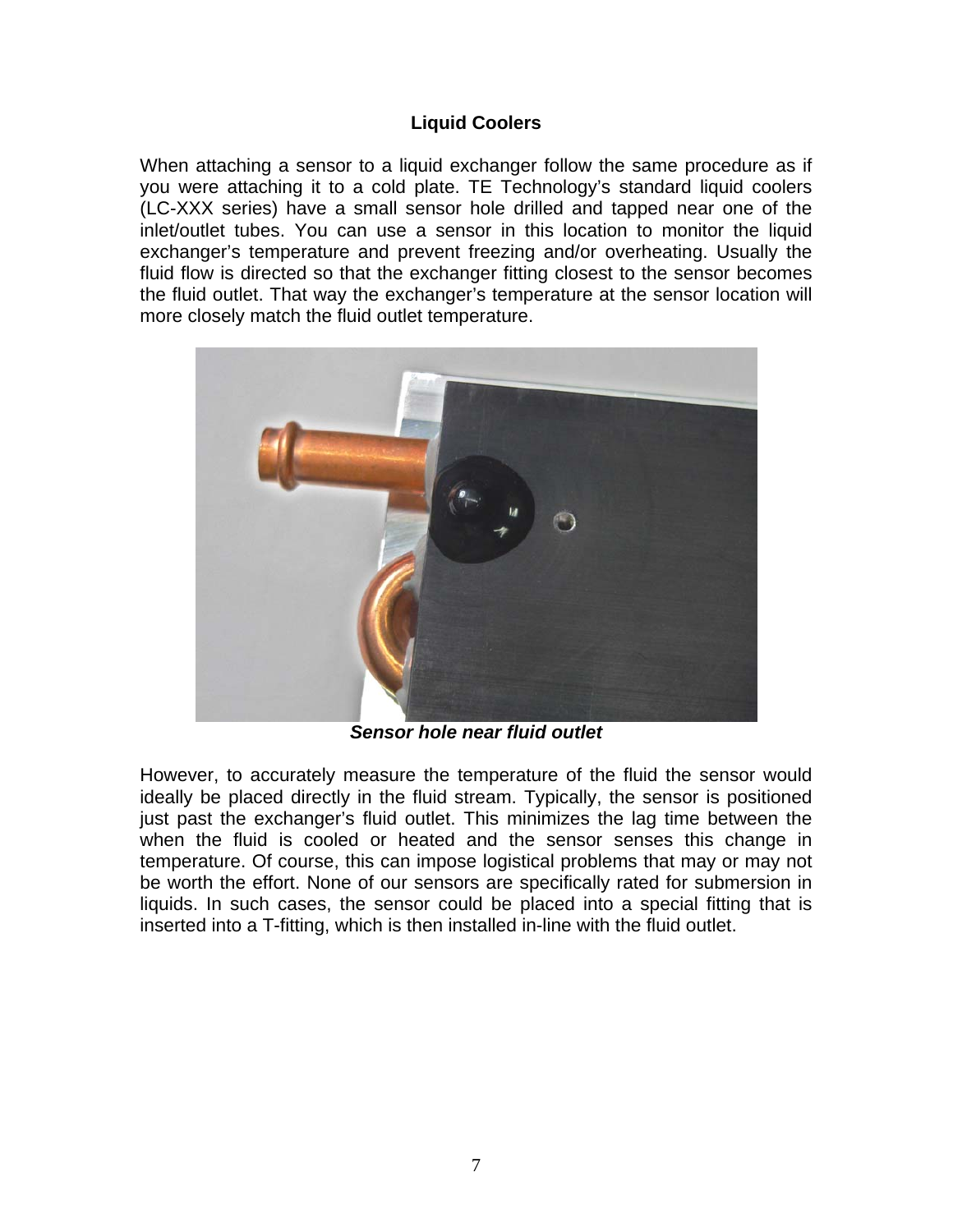### **Liquid Coolers**

When attaching a sensor to a liquid exchanger follow the same procedure as if you were attaching it to a cold plate. TE Technology's standard liquid coolers (LC-XXX series) have a small sensor hole drilled and tapped near one of the inlet/outlet tubes. You can use a sensor in this location to monitor the liquid exchanger's temperature and prevent freezing and/or overheating. Usually the fluid flow is directed so that the exchanger fitting closest to the sensor becomes the fluid outlet. That way the exchanger's temperature at the sensor location will more closely match the fluid outlet temperature.



*Sensor hole near fluid outlet* 

However, to accurately measure the temperature of the fluid the sensor would ideally be placed directly in the fluid stream. Typically, the sensor is positioned just past the exchanger's fluid outlet. This minimizes the lag time between the when the fluid is cooled or heated and the sensor senses this change in temperature. Of course, this can impose logistical problems that may or may not be worth the effort. None of our sensors are specifically rated for submersion in liquids. In such cases, the sensor could be placed into a special fitting that is inserted into a T-fitting, which is then installed in-line with the fluid outlet.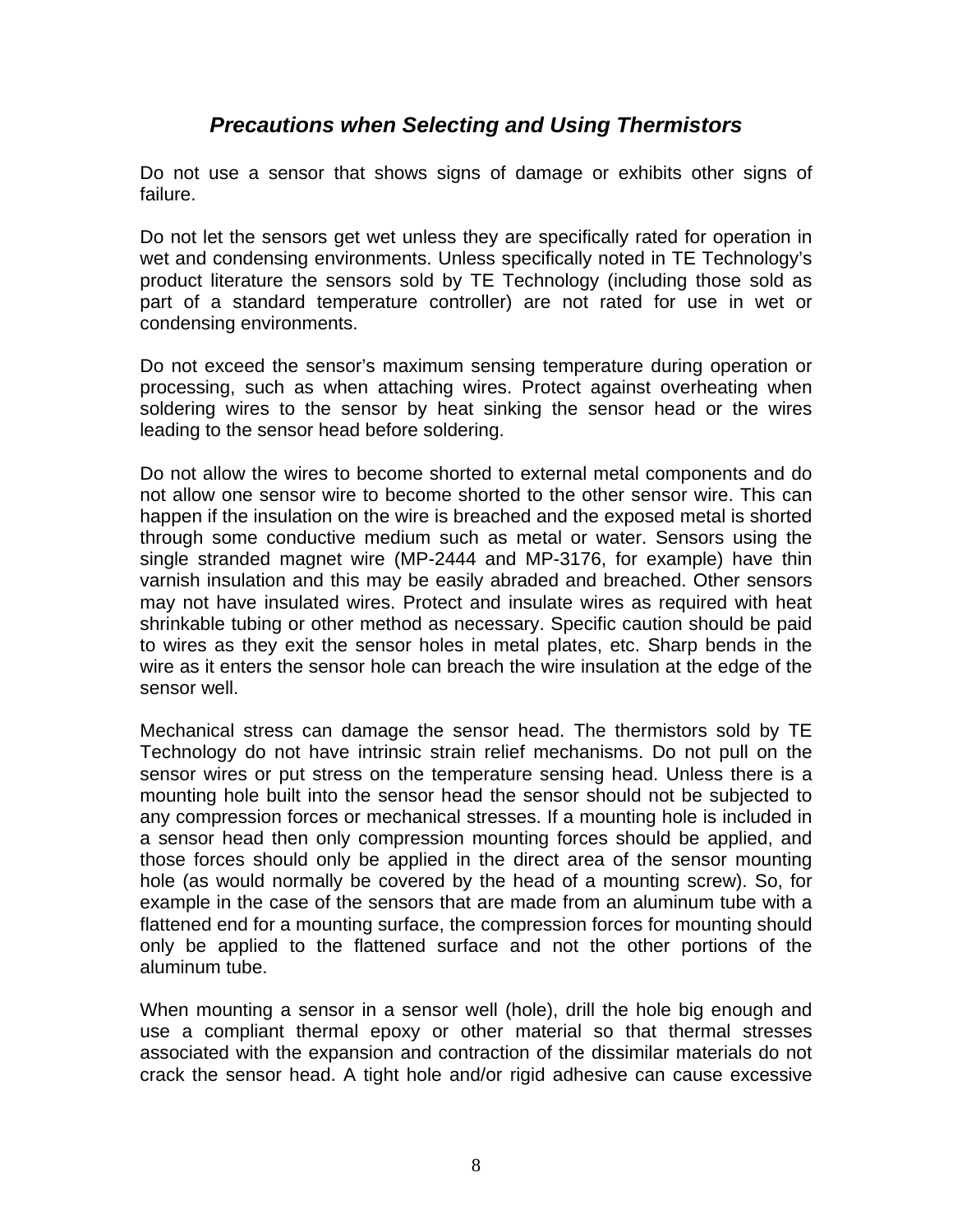## *Precautions when Selecting and Using Thermistors*

Do not use a sensor that shows signs of damage or exhibits other signs of failure.

Do not let the sensors get wet unless they are specifically rated for operation in wet and condensing environments. Unless specifically noted in TE Technology's product literature the sensors sold by TE Technology (including those sold as part of a standard temperature controller) are not rated for use in wet or condensing environments.

Do not exceed the sensor's maximum sensing temperature during operation or processing, such as when attaching wires. Protect against overheating when soldering wires to the sensor by heat sinking the sensor head or the wires leading to the sensor head before soldering.

Do not allow the wires to become shorted to external metal components and do not allow one sensor wire to become shorted to the other sensor wire. This can happen if the insulation on the wire is breached and the exposed metal is shorted through some conductive medium such as metal or water. Sensors using the single stranded magnet wire (MP-2444 and MP-3176, for example) have thin varnish insulation and this may be easily abraded and breached. Other sensors may not have insulated wires. Protect and insulate wires as required with heat shrinkable tubing or other method as necessary. Specific caution should be paid to wires as they exit the sensor holes in metal plates, etc. Sharp bends in the wire as it enters the sensor hole can breach the wire insulation at the edge of the sensor well.

Mechanical stress can damage the sensor head. The thermistors sold by TE Technology do not have intrinsic strain relief mechanisms. Do not pull on the sensor wires or put stress on the temperature sensing head. Unless there is a mounting hole built into the sensor head the sensor should not be subjected to any compression forces or mechanical stresses. If a mounting hole is included in a sensor head then only compression mounting forces should be applied, and those forces should only be applied in the direct area of the sensor mounting hole (as would normally be covered by the head of a mounting screw). So, for example in the case of the sensors that are made from an aluminum tube with a flattened end for a mounting surface, the compression forces for mounting should only be applied to the flattened surface and not the other portions of the aluminum tube.

When mounting a sensor in a sensor well (hole), drill the hole big enough and use a compliant thermal epoxy or other material so that thermal stresses associated with the expansion and contraction of the dissimilar materials do not crack the sensor head. A tight hole and/or rigid adhesive can cause excessive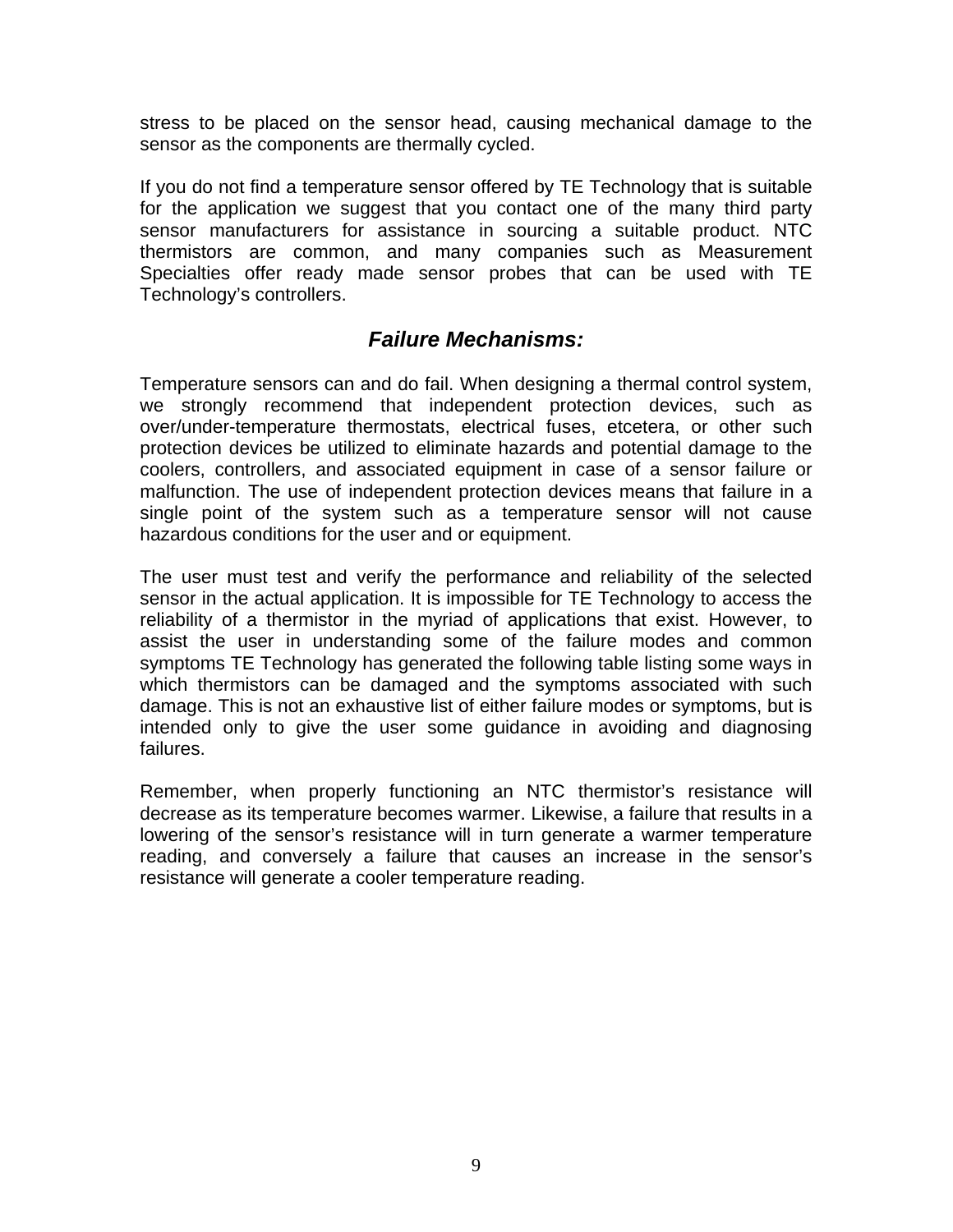stress to be placed on the sensor head, causing mechanical damage to the sensor as the components are thermally cycled.

If you do not find a temperature sensor offered by TE Technology that is suitable for the application we suggest that you contact one of the many third party sensor manufacturers for assistance in sourcing a suitable product. NTC thermistors are common, and many companies such as Measurement Specialties offer ready made sensor probes that can be used with TE Technology's controllers.

## *Failure Mechanisms:*

Temperature sensors can and do fail. When designing a thermal control system, we strongly recommend that independent protection devices, such as over/under-temperature thermostats, electrical fuses, etcetera, or other such protection devices be utilized to eliminate hazards and potential damage to the coolers, controllers, and associated equipment in case of a sensor failure or malfunction. The use of independent protection devices means that failure in a single point of the system such as a temperature sensor will not cause hazardous conditions for the user and or equipment.

The user must test and verify the performance and reliability of the selected sensor in the actual application. It is impossible for TE Technology to access the reliability of a thermistor in the myriad of applications that exist. However, to assist the user in understanding some of the failure modes and common symptoms TE Technology has generated the following table listing some ways in which thermistors can be damaged and the symptoms associated with such damage. This is not an exhaustive list of either failure modes or symptoms, but is intended only to give the user some guidance in avoiding and diagnosing failures.

Remember, when properly functioning an NTC thermistor's resistance will decrease as its temperature becomes warmer. Likewise, a failure that results in a lowering of the sensor's resistance will in turn generate a warmer temperature reading, and conversely a failure that causes an increase in the sensor's resistance will generate a cooler temperature reading.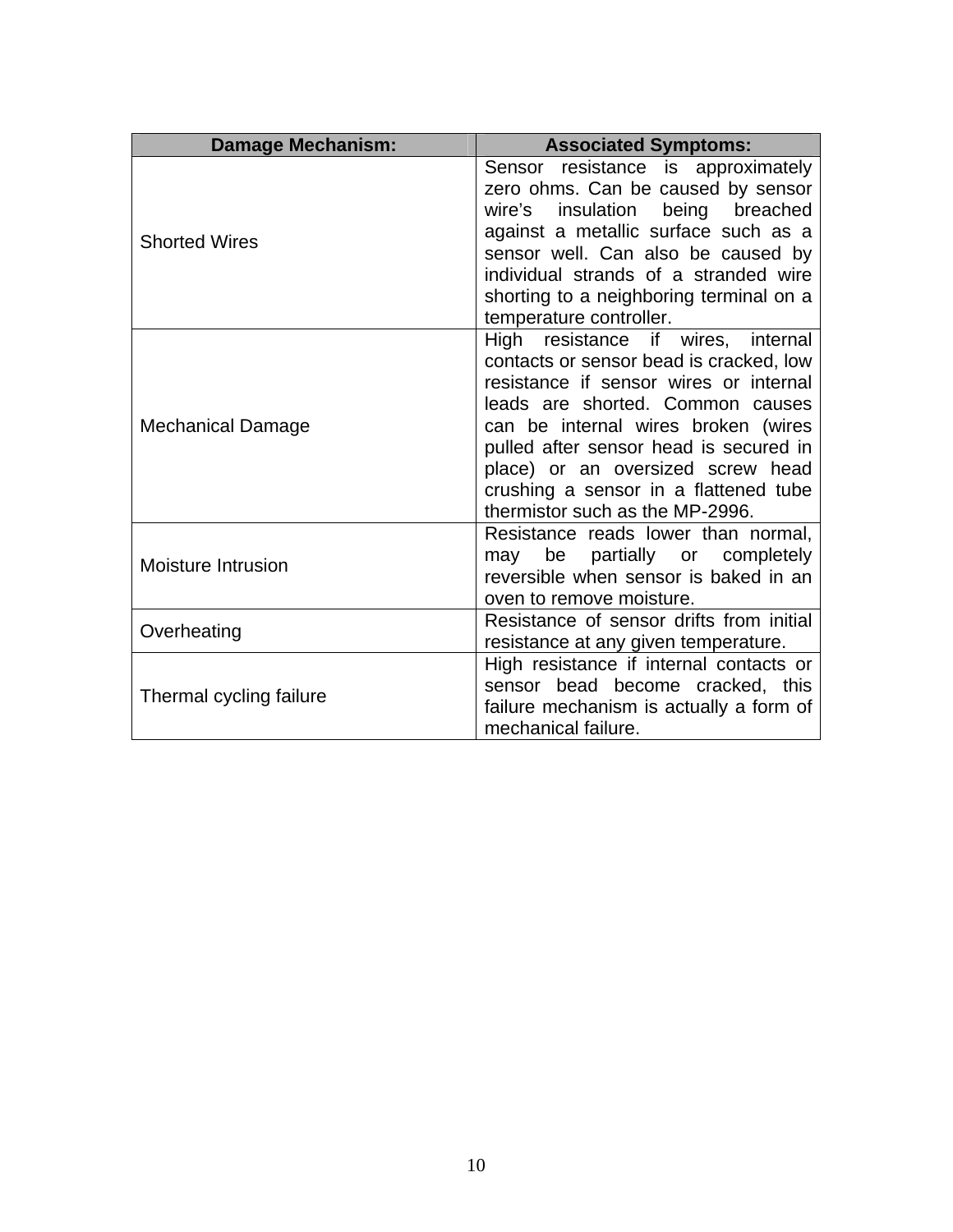| <b>Damage Mechanism:</b>  | <b>Associated Symptoms:</b>                                                                                                                                                                                                                                                                                                                                   |
|---------------------------|---------------------------------------------------------------------------------------------------------------------------------------------------------------------------------------------------------------------------------------------------------------------------------------------------------------------------------------------------------------|
| <b>Shorted Wires</b>      | Sensor resistance is approximately<br>zero ohms. Can be caused by sensor<br>wire's insulation being breached<br>against a metallic surface such as a<br>sensor well. Can also be caused by<br>individual strands of a stranded wire<br>shorting to a neighboring terminal on a<br>temperature controller.                                                     |
| <b>Mechanical Damage</b>  | High resistance if wires, internal<br>contacts or sensor bead is cracked, low<br>resistance if sensor wires or internal<br>leads are shorted. Common causes<br>can be internal wires broken (wires<br>pulled after sensor head is secured in<br>place) or an oversized screw head<br>crushing a sensor in a flattened tube<br>thermistor such as the MP-2996. |
| <b>Moisture Intrusion</b> | Resistance reads lower than normal,<br>be<br>partially or completely<br>may<br>reversible when sensor is baked in an<br>oven to remove moisture.                                                                                                                                                                                                              |
| Overheating               | Resistance of sensor drifts from initial<br>resistance at any given temperature.                                                                                                                                                                                                                                                                              |
| Thermal cycling failure   | High resistance if internal contacts or<br>sensor bead become cracked, this<br>failure mechanism is actually a form of<br>mechanical failure.                                                                                                                                                                                                                 |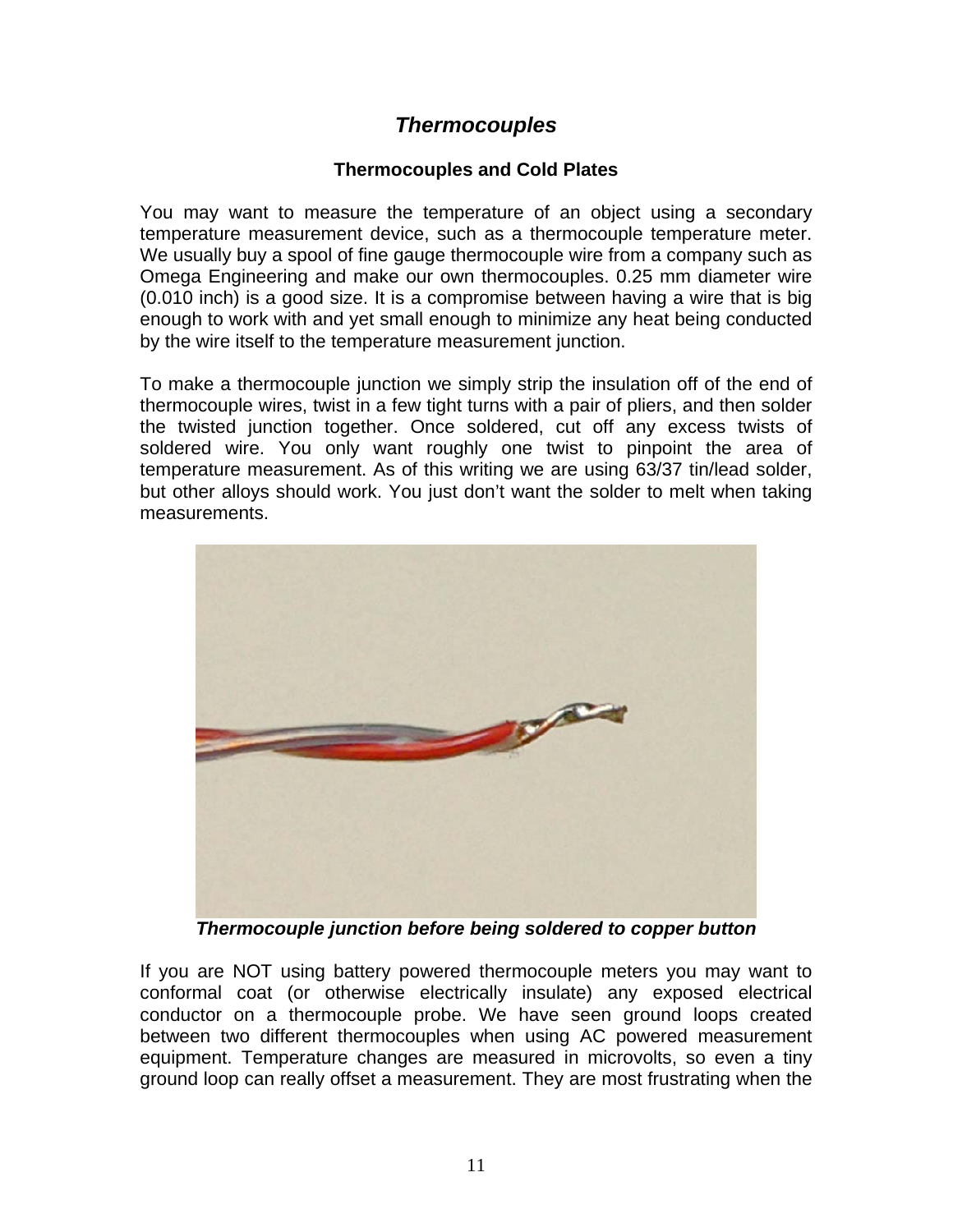# *Thermocouples*

## **Thermocouples and Cold Plates**

You may want to measure the temperature of an object using a secondary temperature measurement device, such as a thermocouple temperature meter. We usually buy a spool of fine gauge thermocouple wire from a company such as Omega Engineering and make our own thermocouples. 0.25 mm diameter wire (0.010 inch) is a good size. It is a compromise between having a wire that is big enough to work with and yet small enough to minimize any heat being conducted by the wire itself to the temperature measurement junction.

To make a thermocouple junction we simply strip the insulation off of the end of thermocouple wires, twist in a few tight turns with a pair of pliers, and then solder the twisted junction together. Once soldered, cut off any excess twists of soldered wire. You only want roughly one twist to pinpoint the area of temperature measurement. As of this writing we are using 63/37 tin/lead solder, but other alloys should work. You just don't want the solder to melt when taking measurements.



*Thermocouple junction before being soldered to copper button* 

If you are NOT using battery powered thermocouple meters you may want to conformal coat (or otherwise electrically insulate) any exposed electrical conductor on a thermocouple probe. We have seen ground loops created between two different thermocouples when using AC powered measurement equipment. Temperature changes are measured in microvolts, so even a tiny ground loop can really offset a measurement. They are most frustrating when the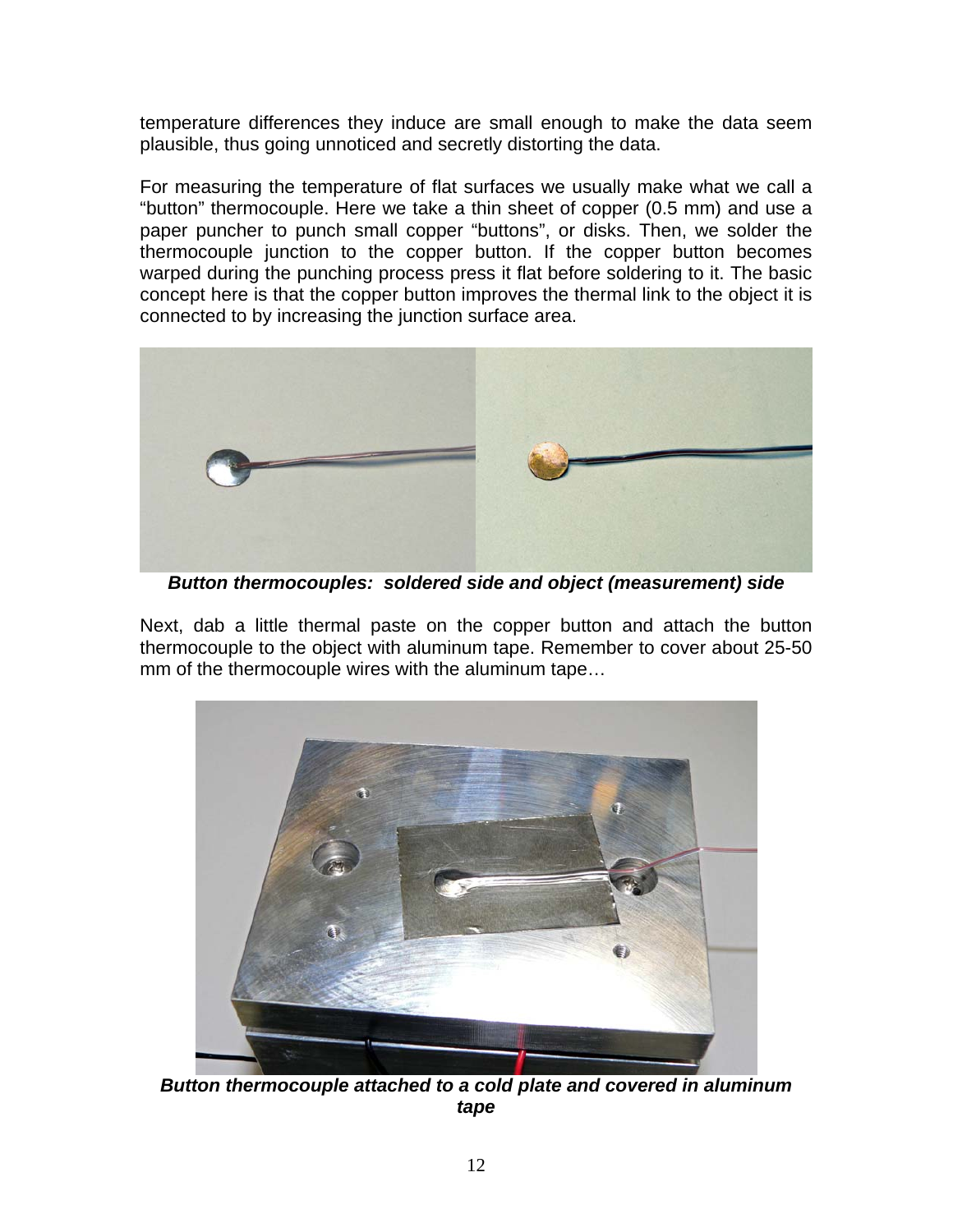temperature differences they induce are small enough to make the data seem plausible, thus going unnoticed and secretly distorting the data.

For measuring the temperature of flat surfaces we usually make what we call a "button" thermocouple. Here we take a thin sheet of copper (0.5 mm) and use a paper puncher to punch small copper "buttons", or disks. Then, we solder the thermocouple junction to the copper button. If the copper button becomes warped during the punching process press it flat before soldering to it. The basic concept here is that the copper button improves the thermal link to the object it is connected to by increasing the junction surface area.



*Button thermocouples: soldered side and object (measurement) side* 

Next, dab a little thermal paste on the copper button and attach the button thermocouple to the object with aluminum tape. Remember to cover about 25-50 mm of the thermocouple wires with the aluminum tape…



*Button thermocouple attached to a cold plate and covered in aluminum tape*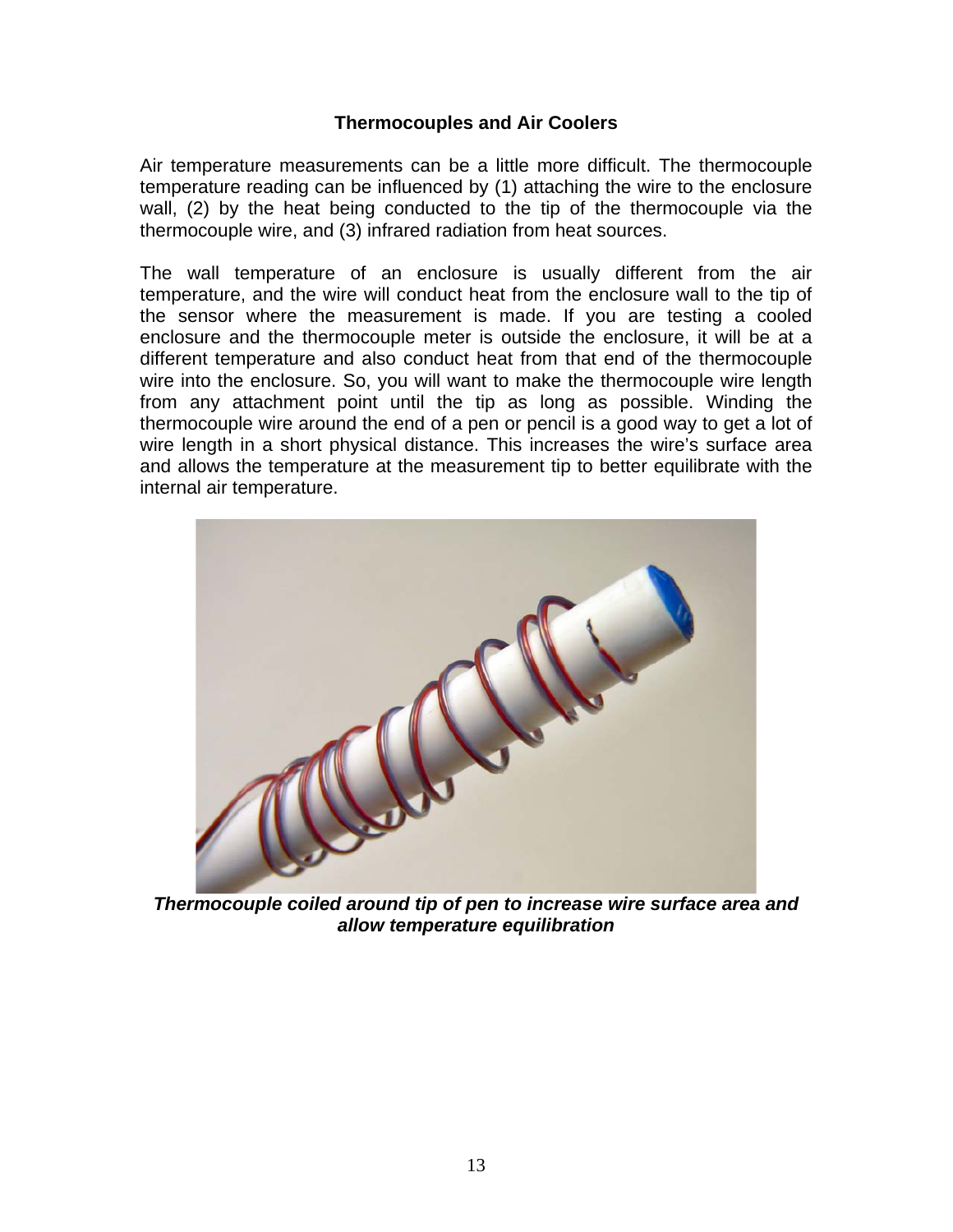#### **Thermocouples and Air Coolers**

Air temperature measurements can be a little more difficult. The thermocouple temperature reading can be influenced by (1) attaching the wire to the enclosure wall, (2) by the heat being conducted to the tip of the thermocouple via the thermocouple wire, and (3) infrared radiation from heat sources.

The wall temperature of an enclosure is usually different from the air temperature, and the wire will conduct heat from the enclosure wall to the tip of the sensor where the measurement is made. If you are testing a cooled enclosure and the thermocouple meter is outside the enclosure, it will be at a different temperature and also conduct heat from that end of the thermocouple wire into the enclosure. So, you will want to make the thermocouple wire length from any attachment point until the tip as long as possible. Winding the thermocouple wire around the end of a pen or pencil is a good way to get a lot of wire length in a short physical distance. This increases the wire's surface area and allows the temperature at the measurement tip to better equilibrate with the internal air temperature.



*Thermocouple coiled around tip of pen to increase wire surface area and allow temperature equilibration*